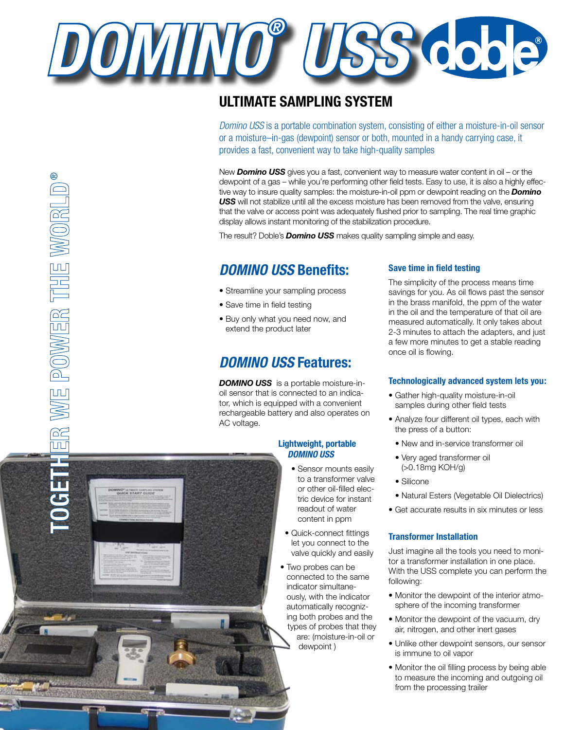

# **Ultimate Sampling System**

*Domino USS* is a portable combination system, consisting of either a moisture-in-oil sensor or a moisture–in-gas (dewpoint) sensor or both, mounted in a handy carrying case, it provides a fast, convenient way to take high-quality samples

New *Domino USS* gives you a fast, convenient way to measure water content in oil – or the dewpoint of a gas – while you're performing other field tests. Easy to use, it is also a highly effective way to insure quality samples: the moisture-in-oil ppm or dewpoint reading on the *Domino USS* will not stabilize until all the excess moisture has been removed from the valve, ensuring that the valve or access point was adequately flushed prior to sampling. The real time graphic display allows instant monitoring of the stabilization procedure.

The result? Doble's *Domino USS* makes quality sampling simple and easy.

# *Domino USS* **Benefits:**

- Streamline your sampling process
- Save time in field testing
- Buy only what you need now, and extend the product later

## *Domino USS* **Features:**

*Domino USS* is a portable moisture-inoil sensor that is connected to an indicator, which is equipped with a convenient rechargeable battery and also operates on AC voltage.

## **Lightweight, portable**  *Domino USS*

- Sensor mounts easily to a transformer valve or other oil-filled electric device for instant readout of water content in ppm
- Quick-connect fittings let you connect to the valve quickly and easily
- Two probes can be connected to the same indicator simultaneously, with the indicator automatically recognizing both probes and the types of probes that they are: (moisture-in-oil or dewpoint )

## **Save time in field testing**

The simplicity of the process means time savings for you. As oil flows past the sensor in the brass manifold, the ppm of the water in the oil and the temperature of that oil are measured automatically. It only takes about 2-3 minutes to attach the adapters, and just a few more minutes to get a stable reading once oil is flowing.

## **Technologically advanced system lets you:**

- Gather high-quality moisture-in-oil samples during other field tests
- Analyze four different oil types, each with the press of a button:
	- New and in-service transformer oil
	- Very aged transformer oil (>0.18mg KOH/g)
- Silicone
- Natural Esters (Vegetable Oil Dielectrics)
- Get accurate results in six minutes or less

## **Transformer Installation**

Just imagine all the tools you need to monitor a transformer installation in one place. With the USS complete you can perform the following:

- Monitor the dewpoint of the interior atmosphere of the incoming transformer
- Monitor the dewpoint of the vacuum, dry air, nitrogen, and other inert gases
- Unlike other dewpoint sensors, our sensor is immune to oil vapor
- Monitor the oil filling process by being able to measure the incoming and outgoing oil from the processing trailer

.<br>California super

®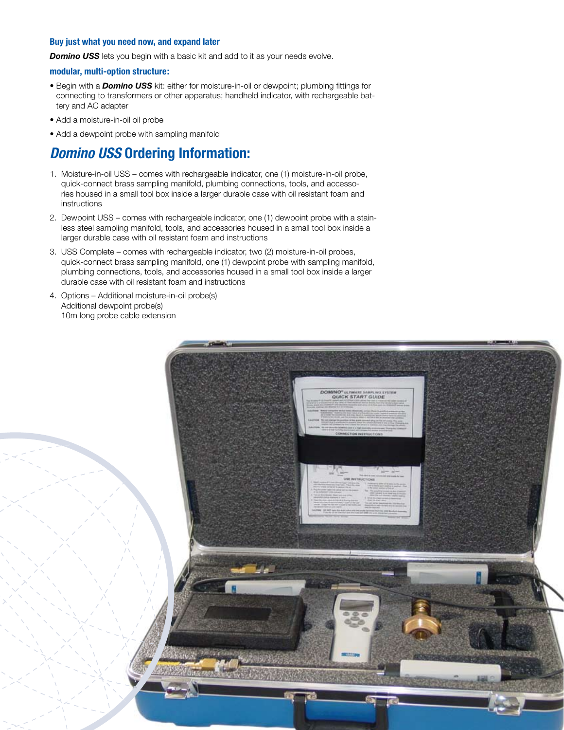## **Buy just what you need now, and expand later**

**Domino USS** lets you begin with a basic kit and add to it as your needs evolve.

## **modular, multi-option structure:**

- Begin with a *Domino USS* kit: either for moisture-in-oil or dewpoint; plumbing fittings for connecting to transformers or other apparatus; handheld indicator, with rechargeable battery and AC adapter
- Add a moisture-in-oil oil probe
- Add a dewpoint probe with sampling manifold

## *Domino USS* **Ordering Information:**

- 1. Moisture-in-oil USS comes with rechargeable indicator, one (1) moisture-in-oil probe, quick-connect brass sampling manifold, plumbing connections, tools, and accessories housed in a small tool box inside a larger durable case with oil resistant foam and instructions
- 2. Dewpoint USS comes with rechargeable indicator, one (1) dewpoint probe with a stainless steel sampling manifold, tools, and accessories housed in a small tool box inside a larger durable case with oil resistant foam and instructions
- 3. USS Complete comes with rechargeable indicator, two (2) moisture-in-oil probes, quick-connect brass sampling manifold, one (1) dewpoint probe with sampling manifold, plumbing connections, tools, and accessories housed in a small tool box inside a larger durable case with oil resistant foam and instructions
- 4. Options Additional moisture-in-oil probe(s) Additional dewpoint probe(s) 10m long probe cable extension

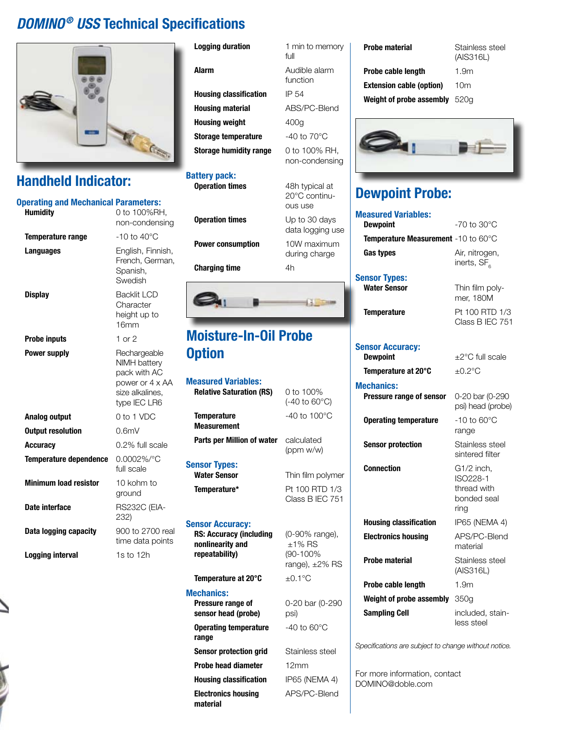# *DOMINO® USS* **Technical Specifications**



# **Handheld Indicator:**

| <b>Operating and Mechanical Parameters:</b><br><b>Humidity</b> | 0 to 100%RH,<br>non-condensing                                                                     |
|----------------------------------------------------------------|----------------------------------------------------------------------------------------------------|
| <b>Temperature range</b>                                       | $-10$ to $40^{\circ}$ C                                                                            |
| Languages                                                      | English, Finnish,<br>French, German,<br>Spanish,<br>Swedish                                        |
| <b>Display</b>                                                 | <b>Backlit LCD</b><br>Character<br>height up to<br>16 <sub>mm</sub>                                |
| <b>Probe inputs</b>                                            | $1$ or $2$                                                                                         |
| <b>Power supply</b>                                            | Rechargeable<br>NIMH battery<br>pack with AC<br>power or 4 x AA<br>size alkalines,<br>type IEC LR6 |
| Analog output                                                  | 0 to 1 VDC                                                                                         |
| <b>Output resolution</b>                                       | 0.6mV                                                                                              |
| <b>Accuracy</b>                                                | 0.2% full scale                                                                                    |
| <b>Temperature dependence</b>                                  | $0.0002\%$ /°C<br>full scale                                                                       |
| <b>Minimum load resistor</b>                                   | 10 kohm to<br>ground                                                                               |
| Date interface                                                 | <b>RS232C (EIA-</b><br>232)                                                                        |
| Data logging capacity                                          | 900 to 2700 real<br>time data points                                                               |
| <b>Logging interval</b>                                        | $1s$ to $12h$                                                                                      |

## **Logging duration** 1 min to memory

**Alarm** 

| <b>Housing classification</b> | IP 54                   |
|-------------------------------|-------------------------|
| Housing material              | ABS/PC-Blend            |
| Housing weight                | 400a                    |
| Storage temperature           | $-40$ to $70^{\circ}$ C |
| Storage humidity range        | 0 to 100% RH,           |
|                               | non-condensing          |

#### **Battery pack: Operation times**

**Operation times Power consumption** 

**Charging time** 



# **Moisture-In-Oil Probe Option**

| <b>Measured Variables:</b>                                           |                                                           |
|----------------------------------------------------------------------|-----------------------------------------------------------|
| <b>Relative Saturation (RS)</b>                                      | 0 to 100%<br>(-40 to 60°C)                                |
| <b>Temperature</b><br><b>Measurement</b>                             | $-40$ to 100 $^{\circ}$ C                                 |
| Parts per Million of water                                           | calculated<br>(ppm w/w)                                   |
| <b>Sensor Types:</b><br><b>Water Sensor</b><br>Temperature*          | Thin film polymer<br>Pt 100 RTD 1/3                       |
| <b>Sensor Accuracy:</b>                                              | Class B IEC 751                                           |
| <b>RS: Accuracy (including</b><br>nonlinearity and<br>repeatability) | (0-90% range),<br>$±1\%$ RS<br>(90-100%<br>range), ±2% RS |
| Temperature at 20°C                                                  | $+0.1^{\circ}$ C                                          |
| <b>Mechanics:</b>                                                    |                                                           |

| Pressure range of<br>sensor head (probe) |
|------------------------------------------|
| <b>Operating temperature</b><br>range    |
| <b>Sensor protection grid</b>            |
| Probe head diameter                      |
| <b>Housing classification</b>            |
| <b>Electronics housing</b><br>material   |

| full                            |
|---------------------------------|
| Audible alarm<br>function       |
| IP 54                           |
| ABS/PC-Blend                    |
| 400g                            |
| $-40$ to $70^{\circ}$ C         |
| 0 to 100% RH,<br>non-condensing |
| 48h typical at<br>$0000 - 0.4$  |

| ous use                           |
|-----------------------------------|
| Up to 30 days<br>data logging use |
| 10W maximum<br>during charge      |
| 4h                                |
|                                   |
|                                   |

# **Mechanics:**

C) **ymer** 751

0-20 bar (0-290

**Operating temperature** -40 to 60°C

**Stainless steel** 

**IP65 (NEMA 4) Electronics housing** APS/PC-Blend

**Probe head diameter** 12mm

psi)

 $6$  RS

*Specifications are subject to change without notice.*

For more information, contact DOMINO@doble.com

(AIS316L)

**Probe cable length** 1.9m **Extension cable (option)** 10m

**Weight of probe assembly** 520g



# **Dewpoint Probe:**

| <b>Measured Variables:</b>                  |                                                              |
|---------------------------------------------|--------------------------------------------------------------|
| <b>Dewpoint</b>                             | -70 to 30°C                                                  |
| Temperature Measurement -10 to 60°C         |                                                              |
| Gas types                                   | Air, nitrogen,<br>inerts, SF <sub>e</sub>                    |
| <b>Sensor Types:</b><br><b>Water Sensor</b> | Thin film poly-<br>mer, 180M                                 |
| <b>Temperature</b>                          | Pt 100 RTD 1/3<br>Class B IEC 751                            |
| <b>Sensor Accuracy:</b><br><b>Dewpoint</b>  | $\pm 2^{\circ}$ C full scale                                 |
| Temperature at 20°C                         | $\pm 0.2^{\circ}$ C                                          |
| <b>Mechanics:</b>                           |                                                              |
| Pressure range of sensor                    | 0-20 bar (0-290<br>psi) head (probe)                         |
| <b>Operating temperature</b>                | $-10$ to $60^{\circ}$ C<br>range                             |
| <b>Sensor protection</b>                    | Stainless steel<br>sintered filter                           |
| <b>Connection</b>                           | G1/2 inch,<br>ISO228-1<br>thread with<br>bonded seal<br>ring |
| <b>Housing classification</b>               | IP65 (NEMA 4)                                                |
| <b>Electronics housing</b>                  | APS/PC-Blend<br>material                                     |
| <b>Probe material</b>                       | Stainless steel<br>(AIS316L)                                 |
| Probe cable length                          | 1.9 <sub>m</sub>                                             |
| Weight of probe assembly                    | 350g                                                         |
| <b>Sampling Cell</b>                        | included, stain-<br>less steel                               |
|                                             |                                                              |